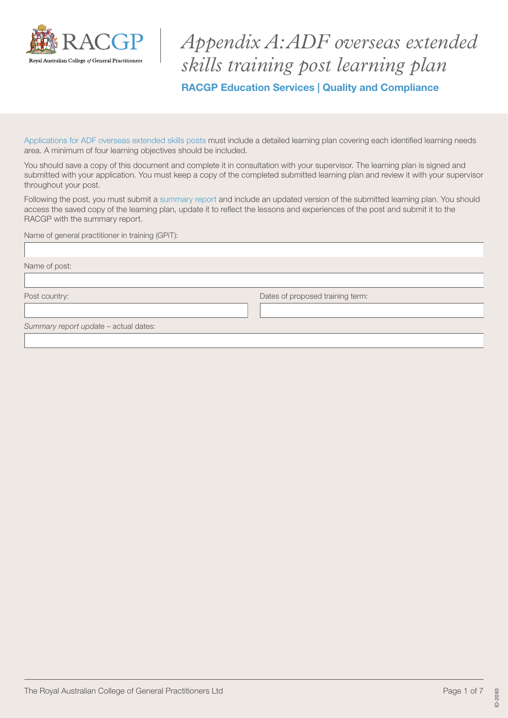

*Appendix A: ADF overseas extended skills training post learning plan* RACGP Education Services | Quality and Compliance

[Applications for ADF overseas extended skills posts](https://www.racgp.org.au/education/education-providers/regional-training/overseas-accreditation/approval-of-overseas-extended-skills-training-post) must include a detailed learning plan covering each identified learning needs area. A minimum of four learning objectives should be included.

You should save a copy of this document and complete it in consultation with your supervisor. The learning plan is signed and submitted with your application. You must keep a copy of the completed submitted learning plan and review it with your supervisor throughout your post.

Following the post, you must submit a [summary report](https://www.racgp.org.au/education/education-providers/regional-training/overseas-accreditation/approval-of-overseas-extended-skills-training-post) and include an updated version of the submitted learning plan. You should access the saved copy of the learning plan, update it to reflect the lessons and experiences of the post and submit it to the RACGP with the summary report.

| Name of general practitioner in training (GPiT): |                                  |
|--------------------------------------------------|----------------------------------|
|                                                  |                                  |
| Name of post:                                    |                                  |
|                                                  |                                  |
| Post country:                                    | Dates of proposed training term: |
|                                                  |                                  |
| Summary report update - actual dates:            |                                  |
|                                                  |                                  |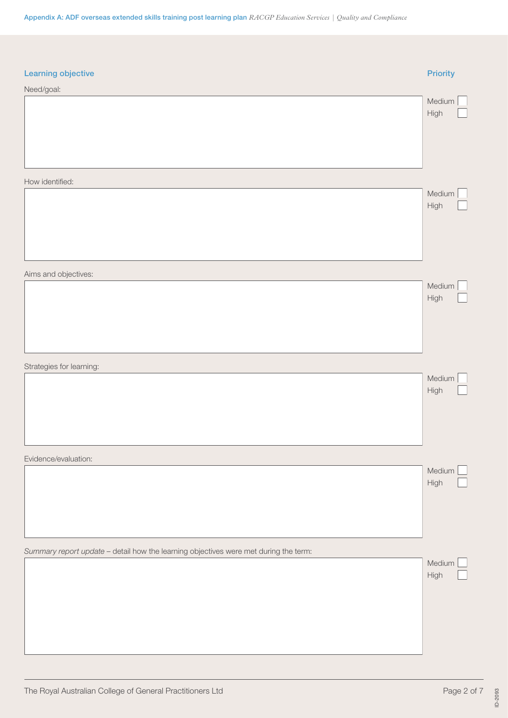| Learning objective                                                                   | <b>Priority</b>  |
|--------------------------------------------------------------------------------------|------------------|
| Need/goal:                                                                           |                  |
|                                                                                      | Medium<br>High   |
| How identified:                                                                      |                  |
|                                                                                      | Medium<br>High   |
| Aims and objectives:                                                                 |                  |
|                                                                                      | Medium<br>High   |
| Strategies for learning:                                                             |                  |
|                                                                                      | Medium<br>High   |
| Evidence/evaluation:                                                                 |                  |
|                                                                                      | Medium [<br>High |
| Summary report update - detail how the learning objectives were met during the term: |                  |
|                                                                                      | Medium [<br>High |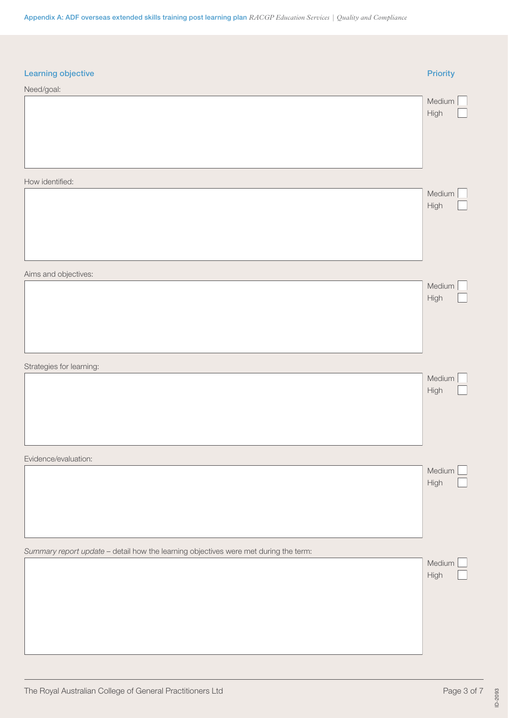| Learning objective                                                                   | <b>Priority</b>  |
|--------------------------------------------------------------------------------------|------------------|
| Need/goal:                                                                           |                  |
|                                                                                      | Medium<br>High   |
| How identified:                                                                      |                  |
|                                                                                      | Medium<br>High   |
| Aims and objectives:                                                                 |                  |
|                                                                                      | Medium<br>High   |
| Strategies for learning:                                                             |                  |
|                                                                                      | Medium<br>High   |
| Evidence/evaluation:                                                                 |                  |
|                                                                                      | Medium [<br>High |
| Summary report update - detail how the learning objectives were met during the term: |                  |
|                                                                                      | Medium [<br>High |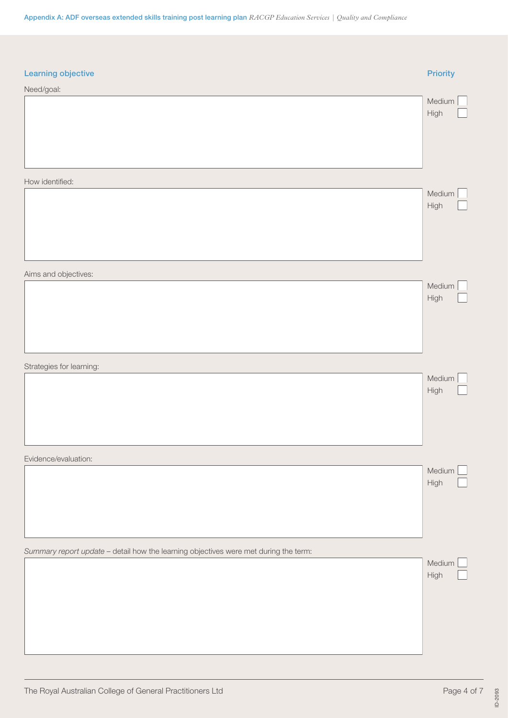| Learning objective                                                                   | <b>Priority</b> |
|--------------------------------------------------------------------------------------|-----------------|
| Need/goal:                                                                           |                 |
|                                                                                      | Medium<br>High  |
| How identified:                                                                      |                 |
|                                                                                      | Medium<br>High  |
| Aims and objectives:                                                                 |                 |
|                                                                                      | Medium<br>High  |
| Strategies for learning:                                                             |                 |
|                                                                                      | Medium<br>High  |
| Evidence/evaluation:                                                                 |                 |
|                                                                                      | Medium<br>High  |
| Summary report update - detail how the learning objectives were met during the term: |                 |
|                                                                                      | Medium<br>High  |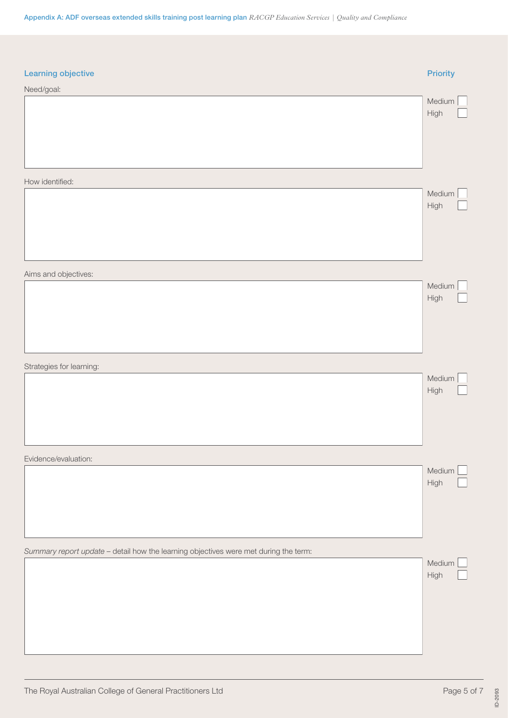| Learning objective                                                                   | <b>Priority</b>  |
|--------------------------------------------------------------------------------------|------------------|
| Need/goal:                                                                           |                  |
|                                                                                      | Medium<br>High   |
| How identified:                                                                      |                  |
|                                                                                      | Medium<br>High   |
| Aims and objectives:                                                                 |                  |
|                                                                                      | Medium<br>High   |
| Strategies for learning:                                                             |                  |
|                                                                                      | Medium<br>High   |
| Evidence/evaluation:                                                                 |                  |
|                                                                                      | Medium [<br>High |
| Summary report update - detail how the learning objectives were met during the term: |                  |
|                                                                                      | Medium [<br>High |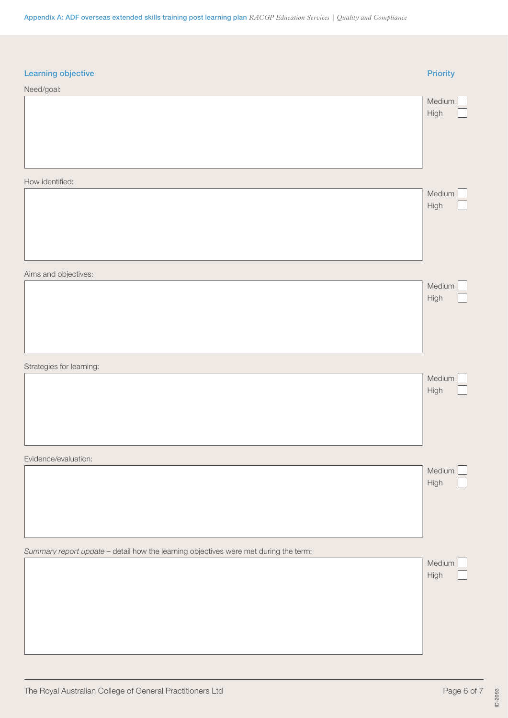| Learning objective                                                                   | <b>Priority</b>  |
|--------------------------------------------------------------------------------------|------------------|
| Need/goal:                                                                           |                  |
|                                                                                      | Medium<br>High   |
| How identified:                                                                      |                  |
|                                                                                      | Medium<br>High   |
| Aims and objectives:                                                                 |                  |
|                                                                                      | Medium<br>High   |
| Strategies for learning:                                                             |                  |
|                                                                                      | Medium<br>High   |
| Evidence/evaluation:                                                                 |                  |
|                                                                                      | Medium [<br>High |
| Summary report update - detail how the learning objectives were met during the term: |                  |
|                                                                                      | Medium [<br>High |